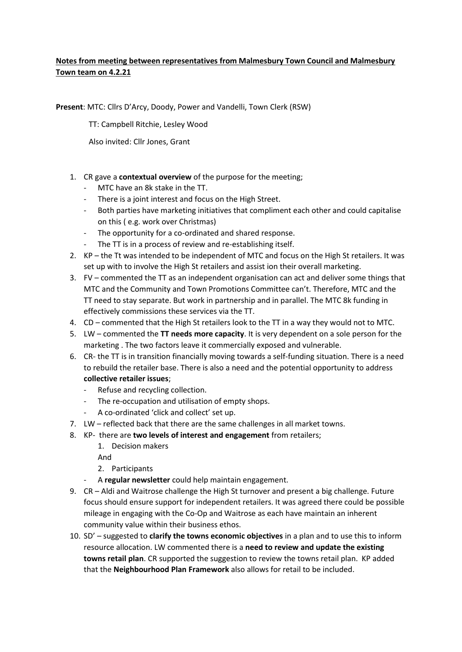## **Notes from meeting between representatives from Malmesbury Town Council and Malmesbury Town team on 4.2.21**

**Present**: MTC: Cllrs D'Arcy, Doody, Power and Vandelli, Town Clerk (RSW)

TT: Campbell Ritchie, Lesley Wood

Also invited: Cllr Jones, Grant

- 1. CR gave a **contextual overview** of the purpose for the meeting;
	- MTC have an 8k stake in the TT.
	- There is a joint interest and focus on the High Street.
	- Both parties have marketing initiatives that compliment each other and could capitalise on this ( e.g. work over Christmas)
	- The opportunity for a co-ordinated and shared response.
	- The TT is in a process of review and re-establishing itself.
- 2. KP the Tt was intended to be independent of MTC and focus on the High St retailers. It was set up with to involve the High St retailers and assist ion their overall marketing.
- 3. FV commented the TT as an independent organisation can act and deliver some things that MTC and the Community and Town Promotions Committee can't. Therefore, MTC and the TT need to stay separate. But work in partnership and in parallel. The MTC 8k funding in effectively commissions these services via the TT.
- 4. CD commented that the High St retailers look to the TT in a way they would not to MTC.
- 5. LW commented the **TT needs more capacity**. It is very dependent on a sole person for the marketing . The two factors leave it commercially exposed and vulnerable.
- 6. CR- the TT is in transition financially moving towards a self-funding situation. There is a need to rebuild the retailer base. There is also a need and the potential opportunity to address **collective retailer issues**;
	- Refuse and recycling collection.
	- The re-occupation and utilisation of empty shops.
	- A co-ordinated 'click and collect' set up.
- 7. LW reflected back that there are the same challenges in all market towns.
- 8. KP- there are **two levels of interest and engagement** from retailers;
	- 1. Decision makers
	- And
	- 2. Participants
	- A **regular newsletter** could help maintain engagement.
- 9. CR Aldi and Waitrose challenge the High St turnover and present a big challenge. Future focus should ensure support for independent retailers. It was agreed there could be possible mileage in engaging with the Co-Op and Waitrose as each have maintain an inherent community value within their business ethos.
- 10. SD' suggested to **clarify the towns economic objectives** in a plan and to use this to inform resource allocation. LW commented there is a **need to review and update the existing towns retail plan**. CR supported the suggestion to review the towns retail plan. KP added that the **Neighbourhood Plan Framework** also allows for retail to be included.